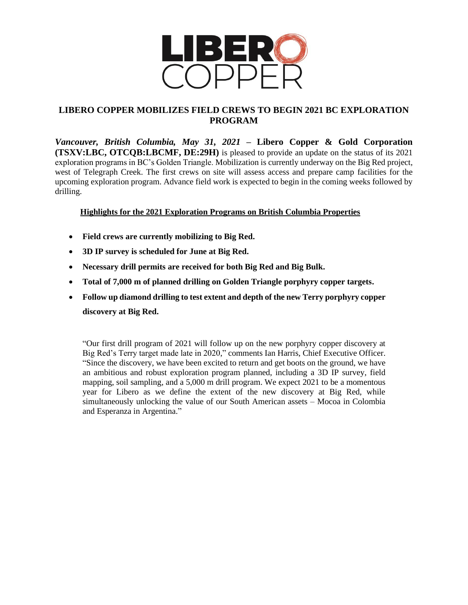

# **LIBERO COPPER MOBILIZES FIELD CREWS TO BEGIN 2021 BC EXPLORATION PROGRAM**

*Vancouver, British Columbia, May 31, 2021* **– Libero Copper & Gold Corporation (TSXV:LBC, OTCQB:LBCMF, DE:29H)** is pleased to provide an update on the status of its 2021 exploration programs in BC's Golden Triangle. Mobilization is currently underway on the Big Red project, west of Telegraph Creek. The first crews on site will assess access and prepare camp facilities for the upcoming exploration program. Advance field work is expected to begin in the coming weeks followed by drilling.

## **Highlights for the 2021 Exploration Programs on British Columbia Properties**

- **Field crews are currently mobilizing to Big Red.**
- **3D IP survey is scheduled for June at Big Red.**
- **Necessary drill permits are received for both Big Red and Big Bulk.**
- **Total of 7,000 m of planned drilling on Golden Triangle porphyry copper targets.**
- **Follow up diamond drilling to test extent and depth of the new Terry porphyry copper discovery at Big Red.**

"Our first drill program of 2021 will follow up on the new porphyry copper discovery at Big Red's Terry target made late in 2020," comments Ian Harris, Chief Executive Officer. "Since the discovery, we have been excited to return and get boots on the ground, we have an ambitious and robust exploration program planned, including a 3D IP survey, field mapping, soil sampling, and a 5,000 m drill program. We expect 2021 to be a momentous year for Libero as we define the extent of the new discovery at Big Red, while simultaneously unlocking the value of our South American assets – Mocoa in Colombia and Esperanza in Argentina."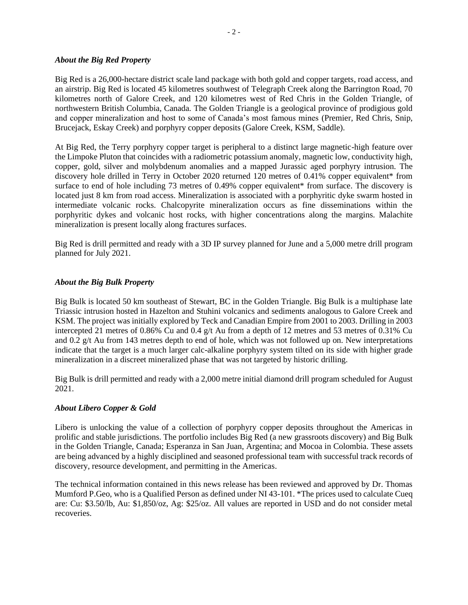#### *About the Big Red Property*

Big Red is a 26,000-hectare district scale land package with both gold and copper targets, road access, and an airstrip. Big Red is located 45 kilometres southwest of Telegraph Creek along the Barrington Road, 70 kilometres north of Galore Creek, and 120 kilometres west of Red Chris in the Golden Triangle, of northwestern British Columbia, Canada. The Golden Triangle is a geological province of prodigious gold and copper mineralization and host to some of Canada's most famous mines (Premier, Red Chris, Snip, Brucejack, Eskay Creek) and porphyry copper deposits (Galore Creek, KSM, Saddle).

At Big Red, the Terry porphyry copper target is peripheral to a distinct large magnetic-high feature over the Limpoke Pluton that coincides with a radiometric potassium anomaly, magnetic low, conductivity high, copper, gold, silver and molybdenum anomalies and a mapped Jurassic aged porphyry intrusion. The discovery hole drilled in Terry in October 2020 returned 120 metres of 0.41% copper equivalent\* from surface to end of hole including 73 metres of 0.49% copper equivalent\* from surface. The discovery is located just 8 km from road access. Mineralization is associated with a porphyritic dyke swarm hosted in intermediate volcanic rocks. Chalcopyrite mineralization occurs as fine disseminations within the porphyritic dykes and volcanic host rocks, with higher concentrations along the margins. Malachite mineralization is present locally along fractures surfaces.

Big Red is drill permitted and ready with a 3D IP survey planned for June and a 5,000 metre drill program planned for July 2021.

#### *About the Big Bulk Property*

Big Bulk is located 50 km southeast of Stewart, BC in the Golden Triangle. Big Bulk is a multiphase late Triassic intrusion hosted in Hazelton and Stuhini volcanics and sediments analogous to Galore Creek and KSM. The project was initially explored by Teck and Canadian Empire from 2001 to 2003. Drilling in 2003 intercepted 21 metres of 0.86% Cu and 0.4 g/t Au from a depth of 12 metres and 53 metres of 0.31% Cu and 0.2 g/t Au from 143 metres depth to end of hole, which was not followed up on. New interpretations indicate that the target is a much larger calc-alkaline porphyry system tilted on its side with higher grade mineralization in a discreet mineralized phase that was not targeted by historic drilling.

Big Bulk is drill permitted and ready with a 2,000 metre initial diamond drill program scheduled for August 2021.

### *About Libero Copper & Gold*

Libero is unlocking the value of a collection of porphyry copper deposits throughout the Americas in prolific and stable jurisdictions. The portfolio includes Big Red (a new grassroots discovery) and Big Bulk in the Golden Triangle, Canada; Esperanza in San Juan, Argentina; and Mocoa in Colombia. These assets are being advanced by a highly disciplined and seasoned professional team with successful track records of discovery, resource development, and permitting in the Americas.

The technical information contained in this news release has been reviewed and approved by Dr. Thomas Mumford P.Geo, who is a Qualified Person as defined under NI 43-101. \*The prices used to calculate Cueq are: Cu: \$3.50/lb, Au: \$1,850/oz, Ag: \$25/oz. All values are reported in USD and do not consider metal recoveries.